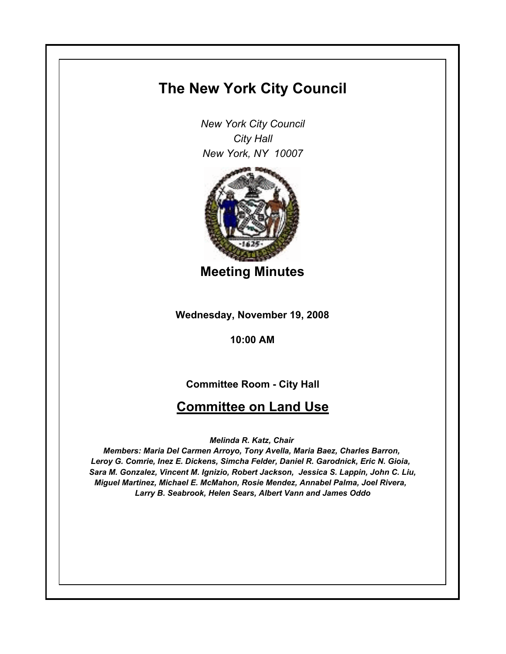# **The New York City Council**

*New York City Council City Hall New York, NY 10007*



**Meeting Minutes**

**Wednesday, November 19, 2008**

**10:00 AM**

**Committee Room - City Hall**

## **Committee on Land Use**

*Melinda R. Katz, Chair* 

*Members: Maria Del Carmen Arroyo, Tony Avella, Maria Baez, Charles Barron, Leroy G. Comrie, Inez E. Dickens, Simcha Felder, Daniel R. Garodnick, Eric N. Gioia, Sara M. Gonzalez, Vincent M. Ignizio, Robert Jackson, Jessica S. Lappin, John C. Liu, Miguel Martinez, Michael E. McMahon, Rosie Mendez, Annabel Palma, Joel Rivera, Larry B. Seabrook, Helen Sears, Albert Vann and James Oddo*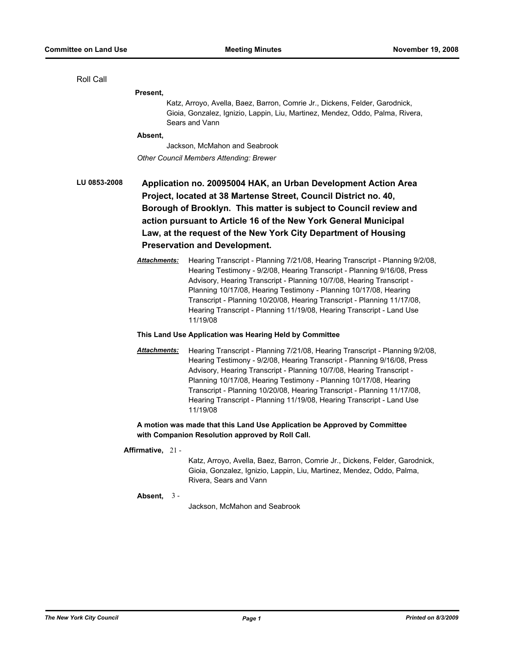Roll Call

**Present,**

Katz, Arroyo, Avella, Baez, Barron, Comrie Jr., Dickens, Felder, Garodnick, Gioia, Gonzalez, Ignizio, Lappin, Liu, Martinez, Mendez, Oddo, Palma, Rivera, Sears and Vann

#### **Absent,**

Jackson, McMahon and Seabrook *Other Council Members Attending: Brewer*

**LU 0853-2008 Application no. 20095004 HAK, an Urban Development Action Area Project, located at 38 Martense Street, Council District no. 40, Borough of Brooklyn. This matter is subject to Council review and action pursuant to Article 16 of the New York General Municipal Law, at the request of the New York City Department of Housing Preservation and Development.**

> *Attachments:* Hearing Transcript - Planning 7/21/08, Hearing Transcript - Planning 9/2/08, Hearing Testimony - 9/2/08, Hearing Transcript - Planning 9/16/08, Press Advisory, Hearing Transcript - Planning 10/7/08, Hearing Transcript - Planning 10/17/08, Hearing Testimony - Planning 10/17/08, Hearing Transcript - Planning 10/20/08, Hearing Transcript - Planning 11/17/08, Hearing Transcript - Planning 11/19/08, Hearing Transcript - Land Use 11/19/08

#### **This Land Use Application was Hearing Held by Committee**

*Attachments:* Hearing Transcript - Planning 7/21/08, Hearing Transcript - Planning 9/2/08, Hearing Testimony - 9/2/08, Hearing Transcript - Planning 9/16/08, Press Advisory, Hearing Transcript - Planning 10/7/08, Hearing Transcript - Planning 10/17/08, Hearing Testimony - Planning 10/17/08, Hearing Transcript - Planning 10/20/08, Hearing Transcript - Planning 11/17/08, Hearing Transcript - Planning 11/19/08, Hearing Transcript - Land Use 11/19/08

## **A motion was made that this Land Use Application be Approved by Committee with Companion Resolution approved by Roll Call.**

#### **Affirmative,** 21 -

Katz, Arroyo, Avella, Baez, Barron, Comrie Jr., Dickens, Felder, Garodnick, Gioia, Gonzalez, Ignizio, Lappin, Liu, Martinez, Mendez, Oddo, Palma, Rivera, Sears and Vann

## **Absent,** 3 -

Jackson, McMahon and Seabrook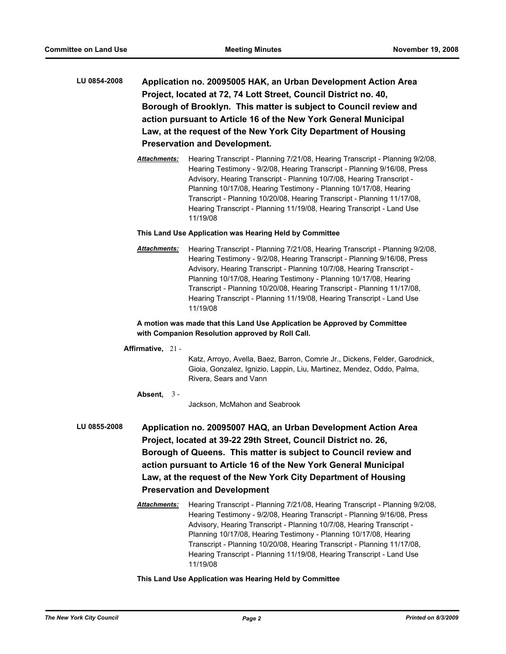- **LU 0854-2008 Application no. 20095005 HAK, an Urban Development Action Area Project, located at 72, 74 Lott Street, Council District no. 40, Borough of Brooklyn. This matter is subject to Council review and action pursuant to Article 16 of the New York General Municipal Law, at the request of the New York City Department of Housing Preservation and Development.**
	- *Attachments:* Hearing Transcript Planning 7/21/08, Hearing Transcript Planning 9/2/08, Hearing Testimony - 9/2/08, Hearing Transcript - Planning 9/16/08, Press Advisory, Hearing Transcript - Planning 10/7/08, Hearing Transcript - Planning 10/17/08, Hearing Testimony - Planning 10/17/08, Hearing Transcript - Planning 10/20/08, Hearing Transcript - Planning 11/17/08, Hearing Transcript - Planning 11/19/08, Hearing Transcript - Land Use 11/19/08

#### **This Land Use Application was Hearing Held by Committee**

*Attachments:* Hearing Transcript - Planning 7/21/08, Hearing Transcript - Planning 9/2/08, Hearing Testimony - 9/2/08, Hearing Transcript - Planning 9/16/08, Press Advisory, Hearing Transcript - Planning 10/7/08, Hearing Transcript - Planning 10/17/08, Hearing Testimony - Planning 10/17/08, Hearing Transcript - Planning 10/20/08, Hearing Transcript - Planning 11/17/08, Hearing Transcript - Planning 11/19/08, Hearing Transcript - Land Use 11/19/08

## **A motion was made that this Land Use Application be Approved by Committee with Companion Resolution approved by Roll Call.**

## **Affirmative,** 21 -

Katz, Arroyo, Avella, Baez, Barron, Comrie Jr., Dickens, Felder, Garodnick, Gioia, Gonzalez, Ignizio, Lappin, Liu, Martinez, Mendez, Oddo, Palma, Rivera, Sears and Vann

## **Absent,** 3 -

Jackson, McMahon and Seabrook

- **LU 0855-2008 Application no. 20095007 HAQ, an Urban Development Action Area Project, located at 39-22 29th Street, Council District no. 26, Borough of Queens. This matter is subject to Council review and action pursuant to Article 16 of the New York General Municipal Law, at the request of the New York City Department of Housing Preservation and Development**
	- *Attachments:* Hearing Transcript Planning 7/21/08, Hearing Transcript Planning 9/2/08, Hearing Testimony - 9/2/08, Hearing Transcript - Planning 9/16/08, Press Advisory, Hearing Transcript - Planning 10/7/08, Hearing Transcript - Planning 10/17/08, Hearing Testimony - Planning 10/17/08, Hearing Transcript - Planning 10/20/08, Hearing Transcript - Planning 11/17/08, Hearing Transcript - Planning 11/19/08, Hearing Transcript - Land Use 11/19/08

### **This Land Use Application was Hearing Held by Committee**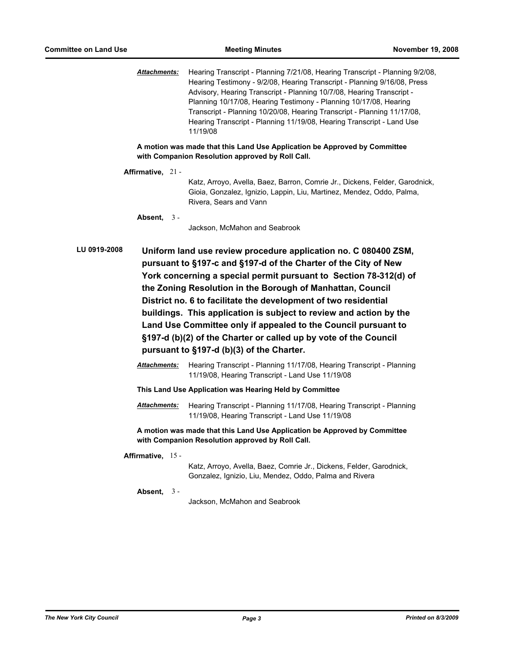*Attachments:* Hearing Transcript - Planning 7/21/08, Hearing Transcript - Planning 9/2/08, Hearing Testimony - 9/2/08, Hearing Transcript - Planning 9/16/08, Press Advisory, Hearing Transcript - Planning 10/7/08, Hearing Transcript - Planning 10/17/08, Hearing Testimony - Planning 10/17/08, Hearing Transcript - Planning 10/20/08, Hearing Transcript - Planning 11/17/08, Hearing Transcript - Planning 11/19/08, Hearing Transcript - Land Use 11/19/08

**A motion was made that this Land Use Application be Approved by Committee with Companion Resolution approved by Roll Call.**

**Affirmative,** 21 -

Katz, Arroyo, Avella, Baez, Barron, Comrie Jr., Dickens, Felder, Garodnick, Gioia, Gonzalez, Ignizio, Lappin, Liu, Martinez, Mendez, Oddo, Palma, Rivera, Sears and Vann

**Absent,** 3 -

Jackson, McMahon and Seabrook

**LU 0919-2008 Uniform land use review procedure application no. C 080400 ZSM, pursuant to §197-c and §197-d of the Charter of the City of New York concerning a special permit pursuant to Section 78-312(d) of the Zoning Resolution in the Borough of Manhattan, Council District no. 6 to facilitate the development of two residential buildings. This application is subject to review and action by the Land Use Committee only if appealed to the Council pursuant to §197-d (b)(2) of the Charter or called up by vote of the Council pursuant to §197-d (b)(3) of the Charter.**

- *Attachments:* Hearing Transcript Planning 11/17/08, Hearing Transcript Planning 11/19/08, Hearing Transcript - Land Use 11/19/08
- **This Land Use Application was Hearing Held by Committee**
- *Attachments:* Hearing Transcript Planning 11/17/08, Hearing Transcript Planning 11/19/08, Hearing Transcript - Land Use 11/19/08

**A motion was made that this Land Use Application be Approved by Committee with Companion Resolution approved by Roll Call.**

**Affirmative,** 15 -

Katz, Arroyo, Avella, Baez, Comrie Jr., Dickens, Felder, Garodnick, Gonzalez, Ignizio, Liu, Mendez, Oddo, Palma and Rivera

**Absent,** 3 -

Jackson, McMahon and Seabrook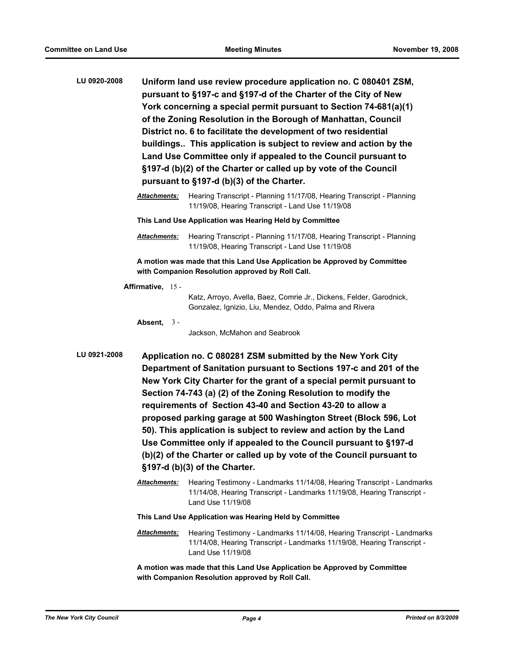- **LU 0920-2008 Uniform land use review procedure application no. C 080401 ZSM, pursuant to §197-c and §197-d of the Charter of the City of New York concerning a special permit pursuant to Section 74-681(a)(1) of the Zoning Resolution in the Borough of Manhattan, Council District no. 6 to facilitate the development of two residential buildings.. This application is subject to review and action by the Land Use Committee only if appealed to the Council pursuant to §197-d (b)(2) of the Charter or called up by vote of the Council pursuant to §197-d (b)(3) of the Charter.**
	- *Attachments:* Hearing Transcript Planning 11/17/08, Hearing Transcript Planning 11/19/08, Hearing Transcript - Land Use 11/19/08
	- **This Land Use Application was Hearing Held by Committee**
	- *Attachments:* Hearing Transcript Planning 11/17/08, Hearing Transcript Planning 11/19/08, Hearing Transcript - Land Use 11/19/08

**A motion was made that this Land Use Application be Approved by Committee with Companion Resolution approved by Roll Call.**

**Affirmative,** 15 -

Katz, Arroyo, Avella, Baez, Comrie Jr., Dickens, Felder, Garodnick, Gonzalez, Ignizio, Liu, Mendez, Oddo, Palma and Rivera

**Absent,** 3 -

Jackson, McMahon and Seabrook

- **LU 0921-2008 Application no. C 080281 ZSM submitted by the New York City Department of Sanitation pursuant to Sections 197-c and 201 of the New York City Charter for the grant of a special permit pursuant to Section 74-743 (a) (2) of the Zoning Resolution to modify the requirements of Section 43-40 and Section 43-20 to allow a proposed parking garage at 500 Washington Street (Block 596, Lot 50). This application is subject to review and action by the Land Use Committee only if appealed to the Council pursuant to §197-d (b)(2) of the Charter or called up by vote of the Council pursuant to §197-d (b)(3) of the Charter.**
	- *Attachments:* Hearing Testimony Landmarks 11/14/08, Hearing Transcript Landmarks 11/14/08, Hearing Transcript - Landmarks 11/19/08, Hearing Transcript - Land Use 11/19/08

**This Land Use Application was Hearing Held by Committee**

*Attachments:* Hearing Testimony - Landmarks 11/14/08, Hearing Transcript - Landmarks 11/14/08, Hearing Transcript - Landmarks 11/19/08, Hearing Transcript - Land Use 11/19/08

**A motion was made that this Land Use Application be Approved by Committee with Companion Resolution approved by Roll Call.**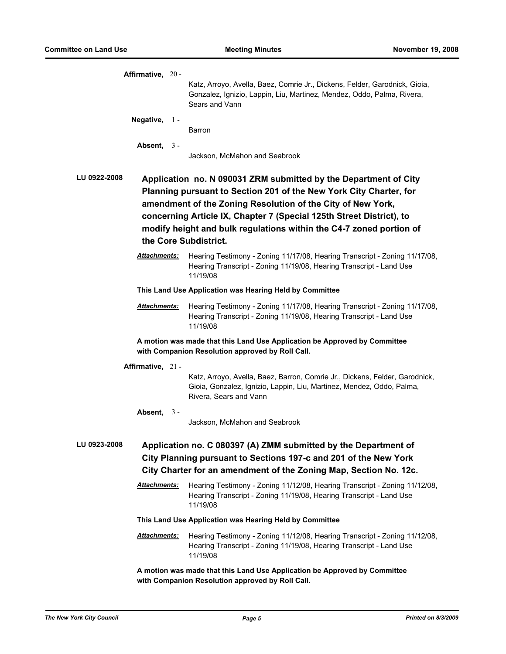| Affirmative, 20 -                                                                                                                                                                                                        |                     |                                                                                                                                                                                                                                                                               |  |  |  |
|--------------------------------------------------------------------------------------------------------------------------------------------------------------------------------------------------------------------------|---------------------|-------------------------------------------------------------------------------------------------------------------------------------------------------------------------------------------------------------------------------------------------------------------------------|--|--|--|
|                                                                                                                                                                                                                          |                     | Katz, Arroyo, Avella, Baez, Comrie Jr., Dickens, Felder, Garodnick, Gioia,<br>Gonzalez, Ignizio, Lappin, Liu, Martinez, Mendez, Oddo, Palma, Rivera,<br>Sears and Vann                                                                                                        |  |  |  |
| Negative, $1 -$                                                                                                                                                                                                          |                     |                                                                                                                                                                                                                                                                               |  |  |  |
|                                                                                                                                                                                                                          |                     | Barron                                                                                                                                                                                                                                                                        |  |  |  |
|                                                                                                                                                                                                                          | Absent, $3 -$       |                                                                                                                                                                                                                                                                               |  |  |  |
|                                                                                                                                                                                                                          |                     | Jackson, McMahon and Seabrook                                                                                                                                                                                                                                                 |  |  |  |
| <b>LU 0922-2008</b>                                                                                                                                                                                                      |                     | Application no. N 090031 ZRM submitted by the Department of City<br>Planning pursuant to Section 201 of the New York City Charter, for<br>amendment of the Zoning Resolution of the City of New York,<br>concerning Article IX, Chapter 7 (Special 125th Street District), to |  |  |  |
| modify height and bulk regulations within the C4-7 zoned portion of<br>the Core Subdistrict.                                                                                                                             |                     |                                                                                                                                                                                                                                                                               |  |  |  |
|                                                                                                                                                                                                                          | <u>Attachments:</u> | Hearing Testimony - Zoning 11/17/08, Hearing Transcript - Zoning 11/17/08,<br>Hearing Transcript - Zoning 11/19/08, Hearing Transcript - Land Use<br>11/19/08                                                                                                                 |  |  |  |
| This Land Use Application was Hearing Held by Committee                                                                                                                                                                  |                     |                                                                                                                                                                                                                                                                               |  |  |  |
|                                                                                                                                                                                                                          | Attachments:        | Hearing Testimony - Zoning 11/17/08, Hearing Transcript - Zoning 11/17/08,<br>Hearing Transcript - Zoning 11/19/08, Hearing Transcript - Land Use<br>11/19/08                                                                                                                 |  |  |  |
| A motion was made that this Land Use Application be Approved by Committee<br>with Companion Resolution approved by Roll Call.                                                                                            |                     |                                                                                                                                                                                                                                                                               |  |  |  |
| Affirmative, 21 -                                                                                                                                                                                                        |                     |                                                                                                                                                                                                                                                                               |  |  |  |
|                                                                                                                                                                                                                          |                     | Katz, Arroyo, Avella, Baez, Barron, Comrie Jr., Dickens, Felder, Garodnick,<br>Gioia, Gonzalez, Ignizio, Lappin, Liu, Martinez, Mendez, Oddo, Palma,<br>Rivera, Sears and Vann                                                                                                |  |  |  |
|                                                                                                                                                                                                                          | Absent, $3 -$       | Jackson, McMahon and Seabrook                                                                                                                                                                                                                                                 |  |  |  |
| LU 0923-2008<br>Application no. C 080397 (A) ZMM submitted by the Department of<br>City Planning pursuant to Sections 197-c and 201 of the New York<br>City Charter for an amendment of the Zoning Map, Section No. 12c. |                     |                                                                                                                                                                                                                                                                               |  |  |  |
|                                                                                                                                                                                                                          | Attachments:        | Hearing Testimony - Zoning 11/12/08, Hearing Transcript - Zoning 11/12/08,<br>Hearing Transcript - Zoning 11/19/08, Hearing Transcript - Land Use<br>11/19/08                                                                                                                 |  |  |  |
|                                                                                                                                                                                                                          |                     | This Land Use Application was Hearing Held by Committee                                                                                                                                                                                                                       |  |  |  |
|                                                                                                                                                                                                                          | Attachments:        | Hearing Testimony - Zoning 11/12/08, Hearing Transcript - Zoning 11/12/08,<br>Hearing Transcript - Zoning 11/19/08, Hearing Transcript - Land Use<br>11/19/08                                                                                                                 |  |  |  |
|                                                                                                                                                                                                                          |                     | A motion was made that this Land Use Application be Approved by Committee                                                                                                                                                                                                     |  |  |  |

**with Companion Resolution approved by Roll Call.**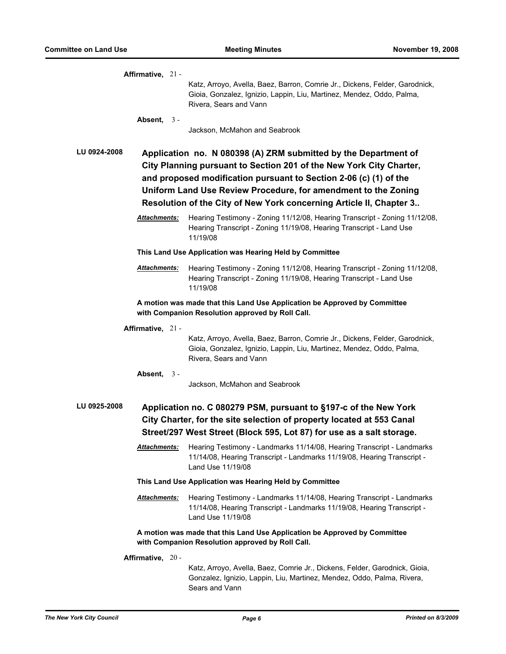|              | Affirmative, 21 -   |                                                                                                                                                                                                                                                                                                                                                      |
|--------------|---------------------|------------------------------------------------------------------------------------------------------------------------------------------------------------------------------------------------------------------------------------------------------------------------------------------------------------------------------------------------------|
|              |                     | Katz, Arroyo, Avella, Baez, Barron, Comrie Jr., Dickens, Felder, Garodnick,<br>Gioia, Gonzalez, Ignizio, Lappin, Liu, Martinez, Mendez, Oddo, Palma,<br>Rivera, Sears and Vann                                                                                                                                                                       |
|              | Absent, $3 -$       |                                                                                                                                                                                                                                                                                                                                                      |
|              |                     | Jackson, McMahon and Seabrook                                                                                                                                                                                                                                                                                                                        |
| LU 0924-2008 |                     | Application no. N 080398 (A) ZRM submitted by the Department of<br>City Planning pursuant to Section 201 of the New York City Charter,<br>and proposed modification pursuant to Section 2-06 (c) (1) of the<br>Uniform Land Use Review Procedure, for amendment to the Zoning<br>Resolution of the City of New York concerning Article II, Chapter 3 |
|              | Attachments:        | Hearing Testimony - Zoning 11/12/08, Hearing Transcript - Zoning 11/12/08,<br>Hearing Transcript - Zoning 11/19/08, Hearing Transcript - Land Use<br>11/19/08                                                                                                                                                                                        |
|              |                     | This Land Use Application was Hearing Held by Committee                                                                                                                                                                                                                                                                                              |
|              | Attachments:        | Hearing Testimony - Zoning 11/12/08, Hearing Transcript - Zoning 11/12/08,<br>Hearing Transcript - Zoning 11/19/08, Hearing Transcript - Land Use<br>11/19/08                                                                                                                                                                                        |
|              |                     | A motion was made that this Land Use Application be Approved by Committee<br>with Companion Resolution approved by Roll Call.                                                                                                                                                                                                                        |
|              | Affirmative, 21 -   |                                                                                                                                                                                                                                                                                                                                                      |
|              |                     | Katz, Arroyo, Avella, Baez, Barron, Comrie Jr., Dickens, Felder, Garodnick,<br>Gioia, Gonzalez, Ignizio, Lappin, Liu, Martinez, Mendez, Oddo, Palma,<br>Rivera, Sears and Vann                                                                                                                                                                       |
|              | Absent,<br>$3 -$    | Jackson, McMahon and Seabrook                                                                                                                                                                                                                                                                                                                        |
| LU 0925-2008 |                     | Application no. C 080279 PSM, pursuant to §197-c of the New York<br>City Charter, for the site selection of property located at 553 Canal<br>Street/297 West Street (Block 595, Lot 87) for use as a salt storage.                                                                                                                                   |
|              | Attachments:        | Hearing Testimony - Landmarks 11/14/08, Hearing Transcript - Landmarks<br>11/14/08, Hearing Transcript - Landmarks 11/19/08, Hearing Transcript -<br>Land Use 11/19/08                                                                                                                                                                               |
|              |                     | This Land Use Application was Hearing Held by Committee                                                                                                                                                                                                                                                                                              |
|              | <u>Attachments:</u> | Hearing Testimony - Landmarks 11/14/08, Hearing Transcript - Landmarks<br>11/14/08, Hearing Transcript - Landmarks 11/19/08, Hearing Transcript -<br>Land Use 11/19/08                                                                                                                                                                               |
|              |                     | A motion was made that this Land Use Application be Approved by Committee<br>with Companion Resolution approved by Roll Call.                                                                                                                                                                                                                        |
|              | Affirmative, 20 -   |                                                                                                                                                                                                                                                                                                                                                      |
|              |                     | Katz, Arroyo, Avella, Baez, Comrie Jr., Dickens, Felder, Garodnick, Gioia,<br>Gonzalez, Ignizio, Lappin, Liu, Martinez, Mendez, Oddo, Palma, Rivera,<br>Sears and Vann                                                                                                                                                                               |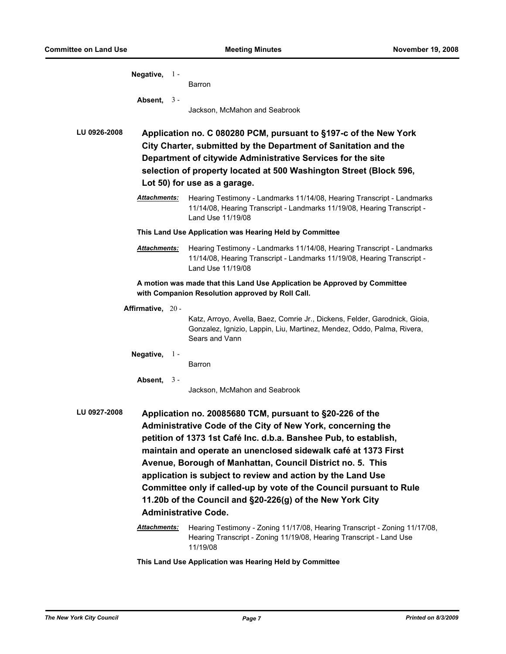|                                                                                                                               | Negative, $1 -$                                                                                                                                                                                                                                                                                                                                                                                                                                                                                                                                               |                                                         | Barron                                                                                                                                                                                                                                                                                                   |  |  |  |
|-------------------------------------------------------------------------------------------------------------------------------|---------------------------------------------------------------------------------------------------------------------------------------------------------------------------------------------------------------------------------------------------------------------------------------------------------------------------------------------------------------------------------------------------------------------------------------------------------------------------------------------------------------------------------------------------------------|---------------------------------------------------------|----------------------------------------------------------------------------------------------------------------------------------------------------------------------------------------------------------------------------------------------------------------------------------------------------------|--|--|--|
|                                                                                                                               | Absent, $3 -$                                                                                                                                                                                                                                                                                                                                                                                                                                                                                                                                                 |                                                         | Jackson, McMahon and Seabrook                                                                                                                                                                                                                                                                            |  |  |  |
| <b>LU 0926-2008</b>                                                                                                           |                                                                                                                                                                                                                                                                                                                                                                                                                                                                                                                                                               |                                                         | Application no. C 080280 PCM, pursuant to §197-c of the New York<br>City Charter, submitted by the Department of Sanitation and the<br>Department of citywide Administrative Services for the site<br>selection of property located at 500 Washington Street (Block 596,<br>Lot 50) for use as a garage. |  |  |  |
|                                                                                                                               | Attachments:                                                                                                                                                                                                                                                                                                                                                                                                                                                                                                                                                  |                                                         | Hearing Testimony - Landmarks 11/14/08, Hearing Transcript - Landmarks<br>11/14/08, Hearing Transcript - Landmarks 11/19/08, Hearing Transcript -<br>Land Use 11/19/08                                                                                                                                   |  |  |  |
|                                                                                                                               |                                                                                                                                                                                                                                                                                                                                                                                                                                                                                                                                                               | This Land Use Application was Hearing Held by Committee |                                                                                                                                                                                                                                                                                                          |  |  |  |
|                                                                                                                               | <b>Attachments:</b>                                                                                                                                                                                                                                                                                                                                                                                                                                                                                                                                           |                                                         | Hearing Testimony - Landmarks 11/14/08, Hearing Transcript - Landmarks<br>11/14/08, Hearing Transcript - Landmarks 11/19/08, Hearing Transcript -<br>Land Use 11/19/08                                                                                                                                   |  |  |  |
| A motion was made that this Land Use Application be Approved by Committee<br>with Companion Resolution approved by Roll Call. |                                                                                                                                                                                                                                                                                                                                                                                                                                                                                                                                                               |                                                         |                                                                                                                                                                                                                                                                                                          |  |  |  |
|                                                                                                                               | Affirmative, 20 -                                                                                                                                                                                                                                                                                                                                                                                                                                                                                                                                             |                                                         | Katz, Arroyo, Avella, Baez, Comrie Jr., Dickens, Felder, Garodnick, Gioia,<br>Gonzalez, Ignizio, Lappin, Liu, Martinez, Mendez, Oddo, Palma, Rivera,<br>Sears and Vann                                                                                                                                   |  |  |  |
|                                                                                                                               | Negative, $1 -$                                                                                                                                                                                                                                                                                                                                                                                                                                                                                                                                               |                                                         | Barron                                                                                                                                                                                                                                                                                                   |  |  |  |
|                                                                                                                               | Absent, $3 -$                                                                                                                                                                                                                                                                                                                                                                                                                                                                                                                                                 |                                                         | Jackson, McMahon and Seabrook                                                                                                                                                                                                                                                                            |  |  |  |
| LU 0927-2008                                                                                                                  | Application no. 20085680 TCM, pursuant to §20-226 of the<br>Administrative Code of the City of New York, concerning the<br>petition of 1373 1st Café Inc. d.b.a. Banshee Pub, to establish,<br>maintain and operate an unenclosed sidewalk café at 1373 First<br>Avenue, Borough of Manhattan, Council District no. 5. This<br>application is subject to review and action by the Land Use<br>Committee only if called-up by vote of the Council pursuant to Rule<br>11.20b of the Council and §20-226(g) of the New York City<br><b>Administrative Code.</b> |                                                         |                                                                                                                                                                                                                                                                                                          |  |  |  |
|                                                                                                                               | Attachments:                                                                                                                                                                                                                                                                                                                                                                                                                                                                                                                                                  |                                                         | Hearing Testimony - Zoning 11/17/08, Hearing Transcript - Zoning 11/17/08,<br>Hearing Transcript - Zoning 11/19/08, Hearing Transcript - Land Use<br>11/19/08                                                                                                                                            |  |  |  |
|                                                                                                                               |                                                                                                                                                                                                                                                                                                                                                                                                                                                                                                                                                               |                                                         | This Land Use Application was Hearing Held by Committee                                                                                                                                                                                                                                                  |  |  |  |